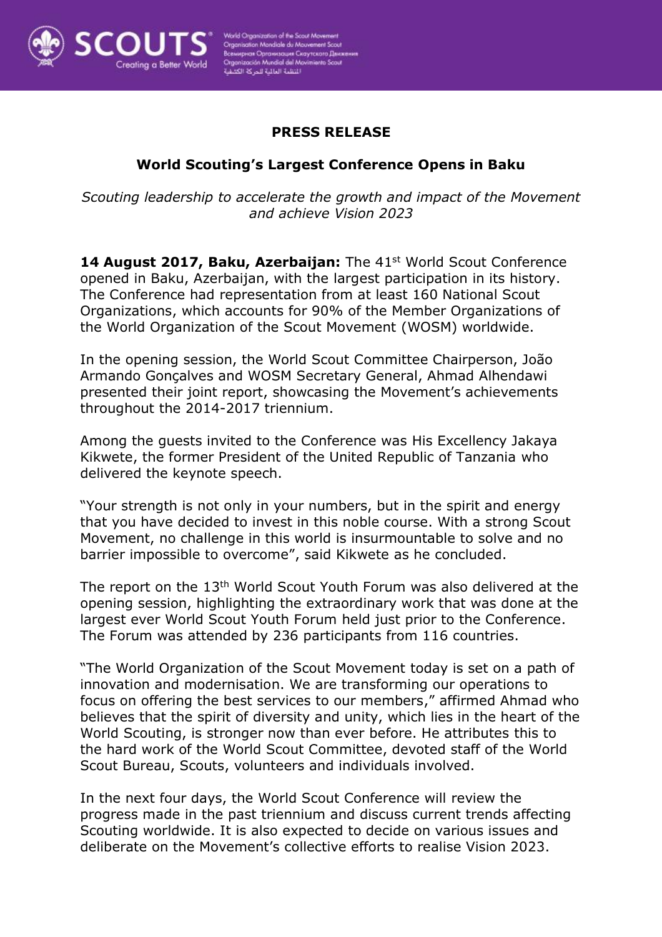

## **PRESS RELEASE**

## **World Scouting's Largest Conference Opens in Baku**

*Scouting leadership to accelerate the growth and impact of the Movement and achieve Vision 2023*

14 August 2017, Baku, Azerbaijan: The 41<sup>st</sup> World Scout Conference opened in Baku, Azerbaijan, with the largest participation in its history. The Conference had representation from at least 160 National Scout Organizations, which accounts for 90% of the Member Organizations of the World Organization of the Scout Movement (WOSM) worldwide.

In the opening session, the World Scout Committee Chairperson, João Armando Gonçalves and WOSM Secretary General, Ahmad Alhendawi presented their joint report, showcasing the Movement's achievements throughout the 2014-2017 triennium.

Among the guests invited to the Conference was His Excellency Jakaya Kikwete, the former President of the United Republic of Tanzania who delivered the keynote speech.

"Your strength is not only in your numbers, but in the spirit and energy that you have decided to invest in this noble course. With a strong Scout Movement, no challenge in this world is insurmountable to solve and no barrier impossible to overcome", said Kikwete as he concluded.

The report on the 13th World Scout Youth Forum was also delivered at the opening session, highlighting the extraordinary work that was done at the largest ever World Scout Youth Forum held just prior to the Conference. The Forum was attended by 236 participants from 116 countries.

"The World Organization of the Scout Movement today is set on a path of innovation and modernisation. We are transforming our operations to focus on offering the best services to our members," affirmed Ahmad who believes that the spirit of diversity and unity, which lies in the heart of the World Scouting, is stronger now than ever before. He attributes this to the hard work of the World Scout Committee, devoted staff of the World Scout Bureau, Scouts, volunteers and individuals involved.

In the next four days, the World Scout Conference will review the progress made in the past triennium and discuss current trends affecting Scouting worldwide. It is also expected to decide on various issues and deliberate on the Movement's collective efforts to realise Vision 2023.